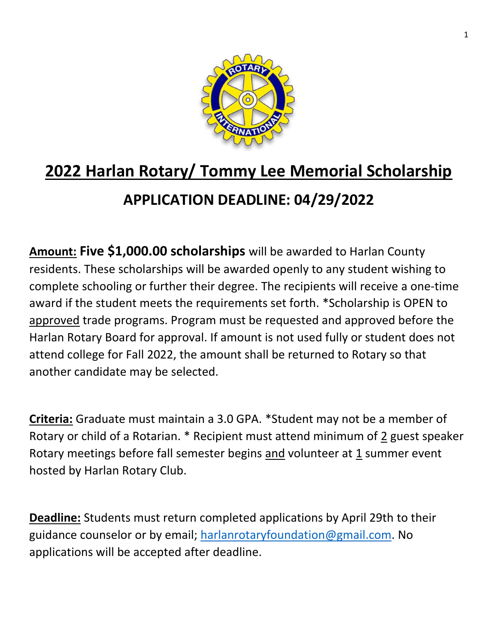

## **2022 Harlan Rotary/ Tommy Lee Memorial Scholarship APPLICATION DEADLINE: 04/29/2022**

**Amount: Five \$1,000.00 scholarships** will be awarded to Harlan County residents. These scholarships will be awarded openly to any student wishing to complete schooling or further their degree. The recipients will receive a one-time award if the student meets the requirements set forth. \*Scholarship is OPEN to approved trade programs. Program must be requested and approved before the Harlan Rotary Board for approval. If amount is not used fully or student does not attend college for Fall 2022, the amount shall be returned to Rotary so that another candidate may be selected.

**Criteria:** Graduate must maintain a 3.0 GPA. \*Student may not be a member of Rotary or child of a Rotarian. \* Recipient must attend minimum of 2 guest speaker Rotary meetings before fall semester begins and volunteer at 1 summer event hosted by Harlan Rotary Club.

**Deadline:** Students must return completed applications by April 29th to their guidance counselor or by email; [harlanrotaryfoundation@gmail.com.](mailto:harlanrotaryfoundation@gmail.com) No applications will be accepted after deadline.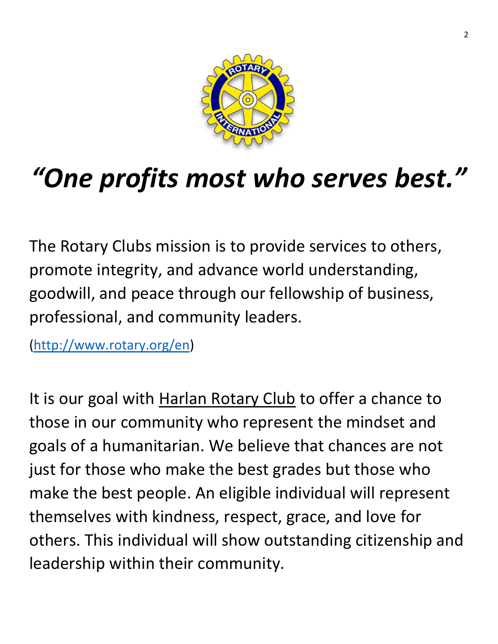

## *"One profits most who serves best."*

The Rotary Clubs mission is to provide services to others, promote integrity, and advance world understanding, goodwill, and peace through our fellowship of business, professional, and community leaders.

[\(http://www.rotary.org/en\)](http://www.rotary.org/en)

It is our goal with Harlan Rotary Club to offer a chance to those in our community who represent the mindset and goals of a humanitarian. We believe that chances are not just for those who make the best grades but those who make the best people. An eligible individual will represent themselves with kindness, respect, grace, and love for others. This individual will show outstanding citizenship and leadership within their community.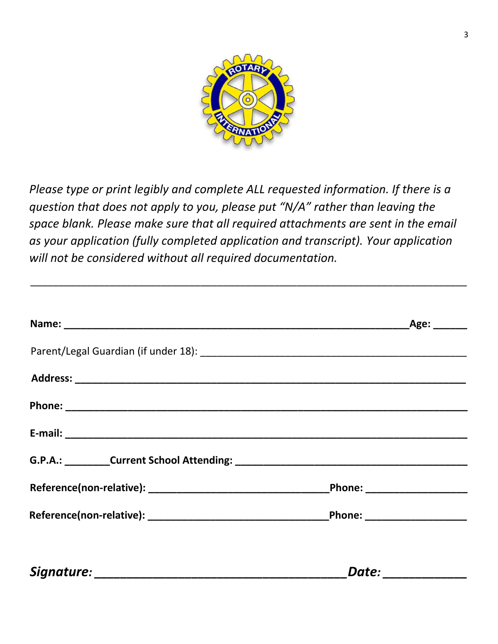

*Please type or print legibly and complete ALL requested information. If there is a question that does not apply to you, please put "N/A" rather than leaving the space blank. Please make sure that all required attachments are sent in the email as your application (fully completed application and transcript). Your application will not be considered without all required documentation.*

\_\_\_\_\_\_\_\_\_\_\_\_\_\_\_\_\_\_\_\_\_\_\_\_\_\_\_\_\_\_\_\_\_\_\_\_\_\_\_\_\_\_\_\_\_\_\_\_\_\_\_\_\_\_\_\_\_\_\_\_\_\_\_\_\_\_\_\_\_\_\_\_\_\_\_\_\_

| G.P.A.: Current School Attending: Current School Attending: |  |
|-------------------------------------------------------------|--|
|                                                             |  |
|                                                             |  |
|                                                             |  |
|                                                             |  |

*Signature: \_\_\_\_\_\_\_\_\_\_\_\_\_\_\_\_\_\_\_\_\_\_\_\_\_\_\_\_\_\_\_\_\_\_\_\_\_\_\_Date: \_\_\_\_\_\_\_\_\_\_\_\_\_*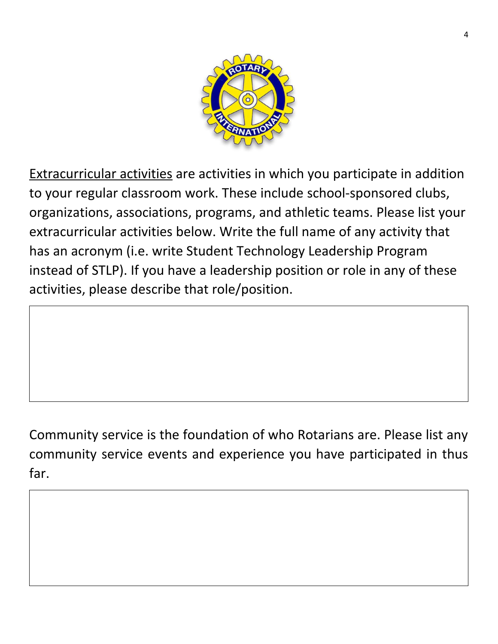

Extracurricular activities are activities in which you participate in addition to your regular classroom work. These include school-sponsored clubs, organizations, associations, programs, and athletic teams. Please list your extracurricular activities below. Write the full name of any activity that has an acronym (i.e. write Student Technology Leadership Program instead of STLP). If you have a leadership position or role in any of these activities, please describe that role/position.

Community service is the foundation of who Rotarians are. Please list any community service events and experience you have participated in thus far.